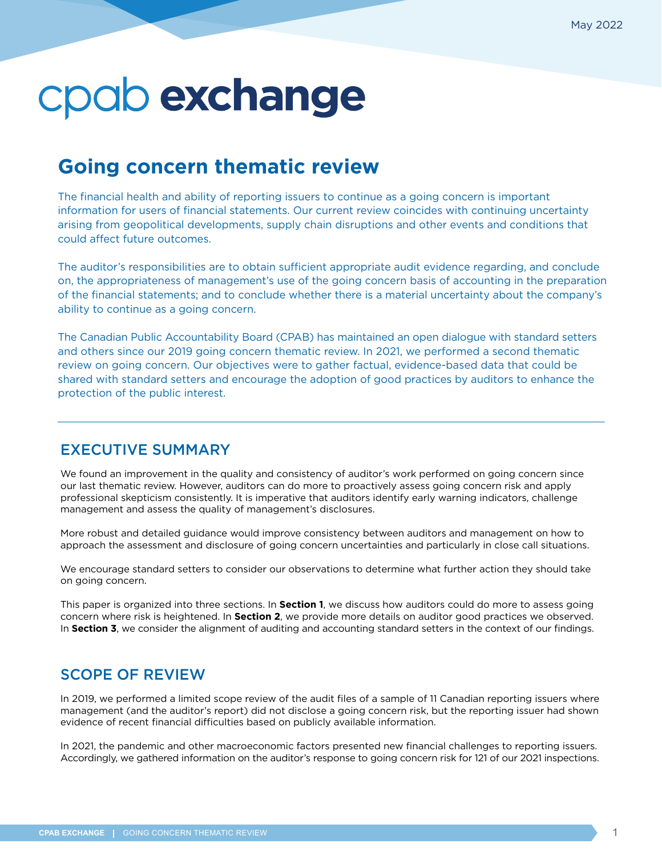## **Going concern thematic review**

The financial health and ability of reporting issuers to continue as a going concern is important information for users of financial statements. Our current review coincides with continuing uncertainty arising from geopolitical developments, supply chain disruptions and other events and conditions that could affect future outcomes.

The auditor's responsibilities are to obtain sufficient appropriate audit evidence regarding, and conclude on, the appropriateness of management's use of the going concern basis of accounting in the preparation of the financial statements; and to conclude whether there is a material uncertainty about the company's ability to continue as a going concern.

The Canadian Public Accountability Board (CPAB) has maintained an open dialogue with standard setters and others since our 2019 going concern thematic review. In 2021, we performed a second thematic review on going concern. Our objectives were to gather factual, evidence-based data that could be shared with standard setters and encourage the adoption of good practices by auditors to enhance the protection of the public interest.

### EXECUTIVE SUMMARY

We found an improvement in the quality and consistency of auditor's work performed on going concern since our last thematic review. However, auditors can do more to proactively assess going concern risk and apply professional skepticism consistently. It is imperative that auditors identify early warning indicators, challenge management and assess the quality of management's disclosures.

More robust and detailed guidance would improve consistency between auditors and management on how to approach the assessment and disclosure of going concern uncertainties and particularly in close call situations.

We encourage standard setters to consider our observations to determine what further action they should take on going concern.

This paper is organized into three sections. In **Section 1**, we discuss how auditors could do more to assess going concern where risk is heightened. In **Section 2**, we provide more details on auditor good practices we observed. In **Section 3**, we consider the alignment of auditing and accounting standard setters in the context of our findings.

### SCOPE OF REVIEW

In 2019, we performed a limited scope review of the audit files of a sample of 11 Canadian reporting issuers where management (and the auditor's report) did not disclose a going concern risk, but the reporting issuer had shown evidence of recent financial difficulties based on publicly available information.

In 2021, the pandemic and other macroeconomic factors presented new financial challenges to reporting issuers. Accordingly, we gathered information on the auditor's response to going concern risk for 121 of our 2021 inspections.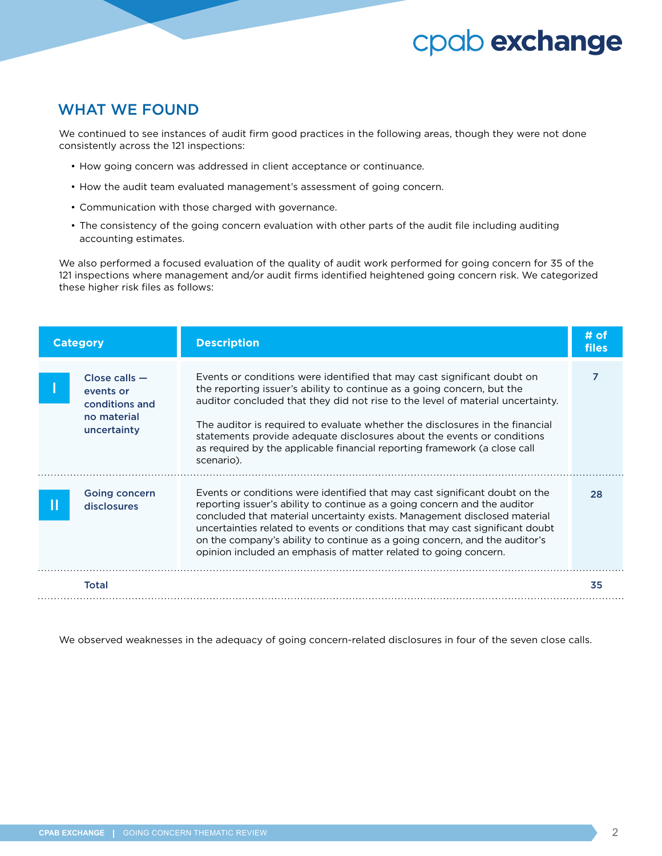### WHAT WE FOUND

We continued to see instances of audit firm good practices in the following areas, though they were not done consistently across the 121 inspections:

- How going concern was addressed in client acceptance or continuance.
- How the audit team evaluated management's assessment of going concern.
- Communication with those charged with governance.
- The consistency of the going concern evaluation with other parts of the audit file including auditing accounting estimates.

We also performed a focused evaluation of the quality of audit work performed for going concern for 35 of the 121 inspections where management and/or audit firms identified heightened going concern risk. We categorized these higher risk files as follows:

| <b>Category</b> |                                                                              | <b>Description</b>                                                                                                                                                                                                                                                                                                                                                                                                                                                                       | # of<br>files |
|-----------------|------------------------------------------------------------------------------|------------------------------------------------------------------------------------------------------------------------------------------------------------------------------------------------------------------------------------------------------------------------------------------------------------------------------------------------------------------------------------------------------------------------------------------------------------------------------------------|---------------|
|                 | $Close calls -$<br>events or<br>conditions and<br>no material<br>uncertainty | Events or conditions were identified that may cast significant doubt on<br>the reporting issuer's ability to continue as a going concern, but the<br>auditor concluded that they did not rise to the level of material uncertainty.<br>The auditor is required to evaluate whether the disclosures in the financial<br>statements provide adequate disclosures about the events or conditions<br>as required by the applicable financial reporting framework (a close call<br>scenario). | 7             |
|                 | <b>Going concern</b><br><b>disclosures</b>                                   | Events or conditions were identified that may cast significant doubt on the<br>reporting issuer's ability to continue as a going concern and the auditor<br>concluded that material uncertainty exists. Management disclosed material<br>uncertainties related to events or conditions that may cast significant doubt<br>on the company's ability to continue as a going concern, and the auditor's<br>opinion included an emphasis of matter related to going concern.                 | 28            |
|                 | <b>Total</b>                                                                 |                                                                                                                                                                                                                                                                                                                                                                                                                                                                                          | 35            |

We observed weaknesses in the adequacy of going concern-related disclosures in four of the seven close calls.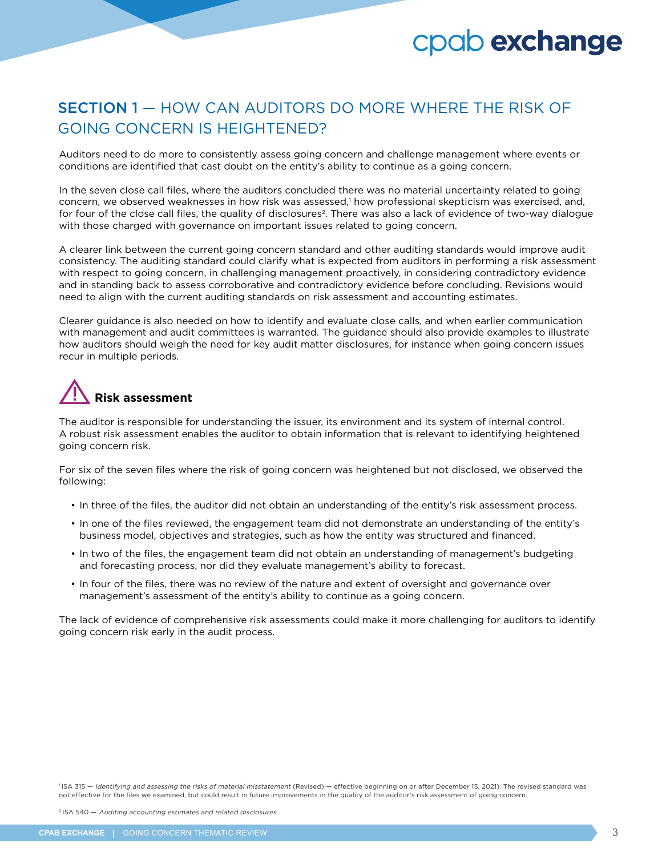### SECTION 1 — HOW CAN AUDITORS DO MORE WHERE THE RISK OF GOING CONCERN IS HEIGHTENED?

Auditors need to do more to consistently assess going concern and challenge management where events or conditions are identified that cast doubt on the entity's ability to continue as a going concern.

In the seven close call files, where the auditors concluded there was no material uncertainty related to going concern, we observed weaknesses in how risk was assessed,<sup>1</sup> how professional skepticism was exercised, and, for four of the close call files, the quality of disclosures<sup>2</sup>. There was also a lack of evidence of two-way dialogue with those charged with governance on important issues related to going concern.

A clearer link between the current going concern standard and other auditing standards would improve audit consistency. The auditing standard could clarify what is expected from auditors in performing a risk assessment with respect to going concern, in challenging management proactively, in considering contradictory evidence and in standing back to assess corroborative and contradictory evidence before concluding. Revisions would need to align with the current auditing standards on risk assessment and accounting estimates.

Clearer guidance is also needed on how to identify and evaluate close calls, and when earlier communication with management and audit committees is warranted. The guidance should also provide examples to illustrate how auditors should weigh the need for key audit matter disclosures, for instance when going concern issues recur in multiple periods.

## **Risk assessment**

The auditor is responsible for understanding the issuer, its environment and its system of internal control. A robust risk assessment enables the auditor to obtain information that is relevant to identifying heightened going concern risk.

For six of the seven files where the risk of going concern was heightened but not disclosed, we observed the following:

- In three of the files, the auditor did not obtain an understanding of the entity's risk assessment process.
- In one of the files reviewed, the engagement team did not demonstrate an understanding of the entity's business model, objectives and strategies, such as how the entity was structured and financed.
- In two of the files, the engagement team did not obtain an understanding of management's budgeting and forecasting process, nor did they evaluate management's ability to forecast.
- In four of the files, there was no review of the nature and extent of oversight and governance over management's assessment of the entity's ability to continue as a going concern.

The lack of evidence of comprehensive risk assessments could make it more challenging for auditors to identify going concern risk early in the audit process.

<sup>1</sup>ISA 315 - Identifying and assessing the risks of material misstatement (Revised) - effective beginning on or after December 15, 2021). The revised standard was not effective for the files we examined, but could result in future improvements in the quality of the auditor's risk assessment of going concern.

2 ISA 540 — Auditing accounting estimates and related disclosures.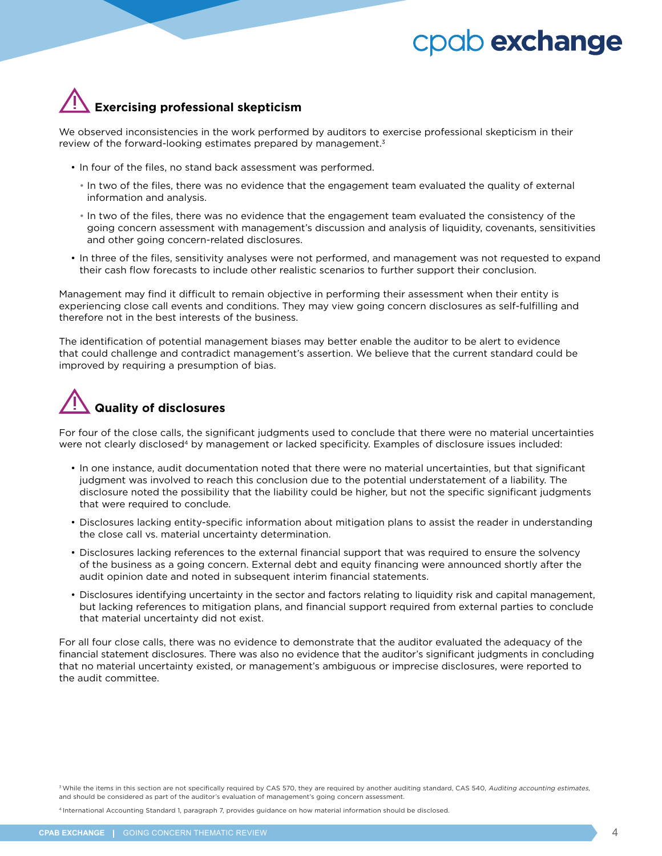

We observed inconsistencies in the work performed by auditors to exercise professional skepticism in their review of the forward-looking estimates prepared by management.<sup>3</sup>

- In four of the files, no stand back assessment was performed.
	- In two of the files, there was no evidence that the engagement team evaluated the quality of external information and analysis.
	- In two of the files, there was no evidence that the engagement team evaluated the consistency of the going concern assessment with management's discussion and analysis of liquidity, covenants, sensitivities and other going concern-related disclosures.
- In three of the files, sensitivity analyses were not performed, and management was not requested to expand their cash flow forecasts to include other realistic scenarios to further support their conclusion.

Management may find it difficult to remain objective in performing their assessment when their entity is experiencing close call events and conditions. They may view going concern disclosures as self-fulfilling and therefore not in the best interests of the business.

The identification of potential management biases may better enable the auditor to be alert to evidence that could challenge and contradict management's assertion. We believe that the current standard could be improved by requiring a presumption of bias.

## **Quality of disclosures**

For four of the close calls, the significant judgments used to conclude that there were no material uncertainties were not clearly disclosed<sup>4</sup> by management or lacked specificity. Examples of disclosure issues included:

- In one instance, audit documentation noted that there were no material uncertainties, but that significant judgment was involved to reach this conclusion due to the potential understatement of a liability. The disclosure noted the possibility that the liability could be higher, but not the specific significant judgments that were required to conclude.
- Disclosures lacking entity-specific information about mitigation plans to assist the reader in understanding the close call vs. material uncertainty determination.
- Disclosures lacking references to the external financial support that was required to ensure the solvency of the business as a going concern. External debt and equity financing were announced shortly after the audit opinion date and noted in subsequent interim financial statements.
- Disclosures identifying uncertainty in the sector and factors relating to liquidity risk and capital management, but lacking references to mitigation plans, and financial support required from external parties to conclude that material uncertainty did not exist.

For all four close calls, there was no evidence to demonstrate that the auditor evaluated the adequacy of the financial statement disclosures. There was also no evidence that the auditor's significant judgments in concluding that no material uncertainty existed, or management's ambiguous or imprecise disclosures, were reported to the audit committee.

4 International Accounting Standard 1, paragraph 7, provides guidance on how material information should be disclosed.

<sup>&</sup>lt;sup>3</sup> While the items in this section are not specifically required by CAS 570, they are required by another auditing standard, CAS 540, Auditing accounting estimates, and should be considered as part of the auditor's evaluation of management's going concern assessment.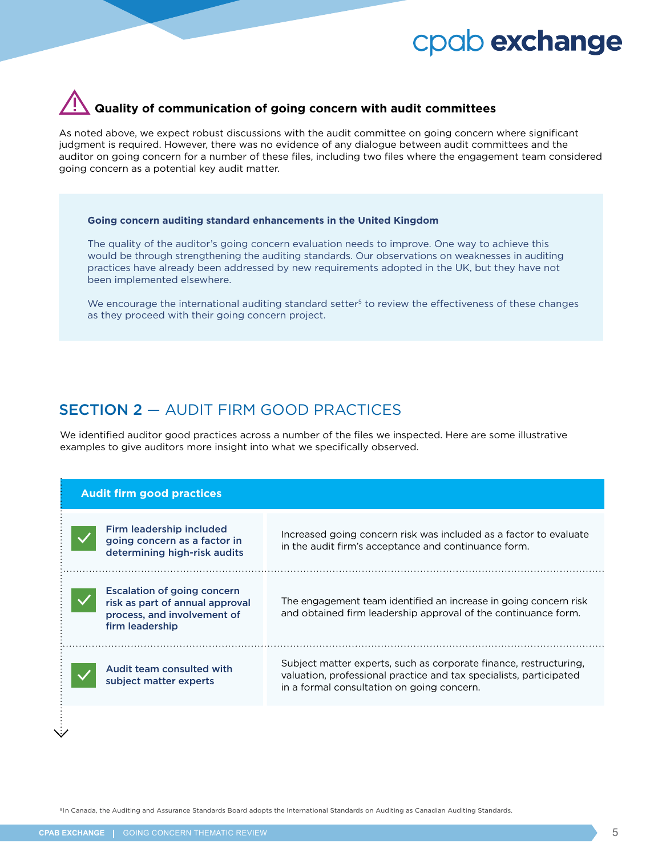## **Quality of communication of going concern with audit committees**

As noted above, we expect robust discussions with the audit committee on going concern where significant judgment is required. However, there was no evidence of any dialogue between audit committees and the auditor on going concern for a number of these files, including two files where the engagement team considered going concern as a potential key audit matter.

#### **Going concern auditing standard enhancements in the United Kingdom**

The quality of the auditor's going concern evaluation needs to improve. One way to achieve this would be through strengthening the auditing standards. Our observations on weaknesses in auditing practices have already been addressed by new requirements adopted in the UK, but they have not been implemented elsewhere.

We encourage the international auditing standard setter<sup>5</sup> to review the effectiveness of these changes as they proceed with their going concern project.

### SECTION 2 — AUDIT FIRM GOOD PRACTICES

We identified auditor good practices across a number of the files we inspected. Here are some illustrative examples to give auditors more insight into what we specifically observed.

#### **Audit firm good practices**

| Firm leadership included<br>going concern as a factor in<br>determining high-risk audits                                | Increased going concern risk was included as a factor to evaluate<br>in the audit firm's acceptance and continuance form.                                                             |
|-------------------------------------------------------------------------------------------------------------------------|---------------------------------------------------------------------------------------------------------------------------------------------------------------------------------------|
| <b>Escalation of going concern</b><br>risk as part of annual approval<br>process, and involvement of<br>firm leadership | The engagement team identified an increase in going concern risk<br>and obtained firm leadership approval of the continuance form.                                                    |
| Audit team consulted with<br>subject matter experts                                                                     | Subject matter experts, such as corporate finance, restructuring,<br>valuation, professional practice and tax specialists, participated<br>in a formal consultation on going concern. |

5In Canada, the Auditing and Assurance Standards Board adopts the International Standards on Auditing as Canadian Auditing Standards.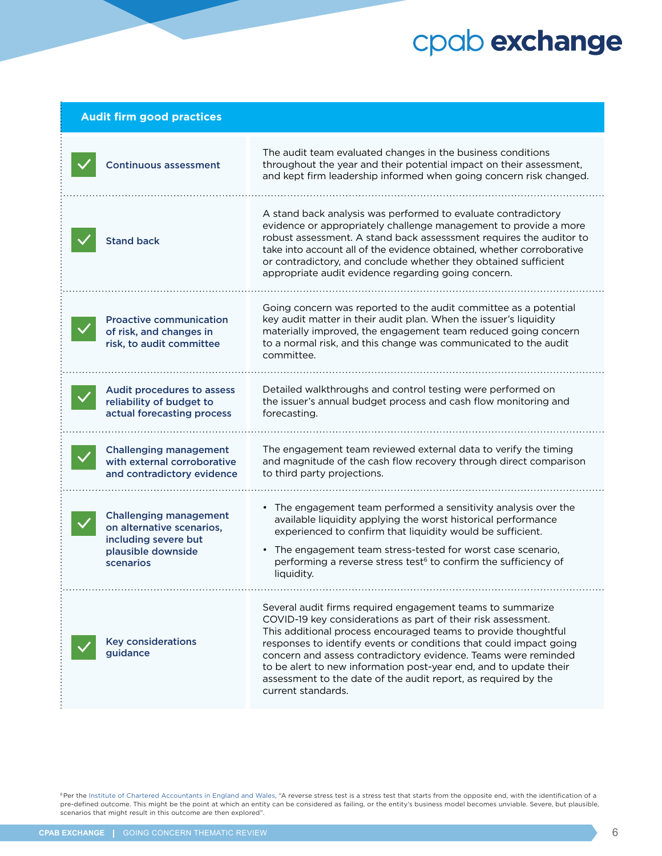| <b>Audit firm good practices</b>                                                                                      |                                                                                                                                                                                                                                                                                                                                                                                                                                                                                                    |  |  |  |
|-----------------------------------------------------------------------------------------------------------------------|----------------------------------------------------------------------------------------------------------------------------------------------------------------------------------------------------------------------------------------------------------------------------------------------------------------------------------------------------------------------------------------------------------------------------------------------------------------------------------------------------|--|--|--|
| <b>Continuous assessment</b>                                                                                          | The audit team evaluated changes in the business conditions<br>throughout the year and their potential impact on their assessment,<br>and kept firm leadership informed when going concern risk changed.                                                                                                                                                                                                                                                                                           |  |  |  |
| <b>Stand back</b>                                                                                                     | A stand back analysis was performed to evaluate contradictory<br>evidence or appropriately challenge management to provide a more<br>robust assessment. A stand back assesssment requires the auditor to<br>take into account all of the evidence obtained, whether corroborative<br>or contradictory, and conclude whether they obtained sufficient<br>appropriate audit evidence regarding going concern.                                                                                        |  |  |  |
| <b>Proactive communication</b><br>of risk, and changes in<br>risk, to audit committee                                 | Going concern was reported to the audit committee as a potential<br>key audit matter in their audit plan. When the issuer's liquidity<br>materially improved, the engagement team reduced going concern<br>to a normal risk, and this change was communicated to the audit<br>committee.                                                                                                                                                                                                           |  |  |  |
| Audit procedures to assess<br>reliability of budget to<br>actual forecasting process                                  | Detailed walkthroughs and control testing were performed on<br>the issuer's annual budget process and cash flow monitoring and<br>forecasting.                                                                                                                                                                                                                                                                                                                                                     |  |  |  |
| <b>Challenging management</b><br>with external corroborative<br>and contradictory evidence                            | The engagement team reviewed external data to verify the timing<br>and magnitude of the cash flow recovery through direct comparison<br>to third party projections.                                                                                                                                                                                                                                                                                                                                |  |  |  |
| <b>Challenging management</b><br>on alternative scenarios,<br>including severe but<br>plausible downside<br>scenarios | • The engagement team performed a sensitivity analysis over the<br>available liquidity applying the worst historical performance<br>experienced to confirm that liquidity would be sufficient.<br>• The engagement team stress-tested for worst case scenario,<br>performing a reverse stress test <sup>6</sup> to confirm the sufficiency of<br>liquidity.                                                                                                                                        |  |  |  |
| <b>Key considerations</b><br>guidance                                                                                 | Several audit firms required engagement teams to summarize<br>COVID-19 key considerations as part of their risk assessment.<br>This additional process encouraged teams to provide thoughtful<br>responses to identify events or conditions that could impact going<br>concern and assess contradictory evidence. Teams were reminded<br>to be alert to new information post-year end, and to update their<br>assessment to the date of the audit report, as required by the<br>current standards. |  |  |  |

<sup>6</sup>Per the [Institute of Chartered Accountants in England and Wales,](https://www.icaew.com/technical/audit-and-assurance/professional-scepticism/stress-testing) "A reverse stress test is a stress test that starts from the opposite end, with the identification of a pre-defined outcome. This might be the point at which an entity can be considered as failing, or the entity's business model becomes unviable. Severe, but plausible, scenarios that might result in this outcome are then explored".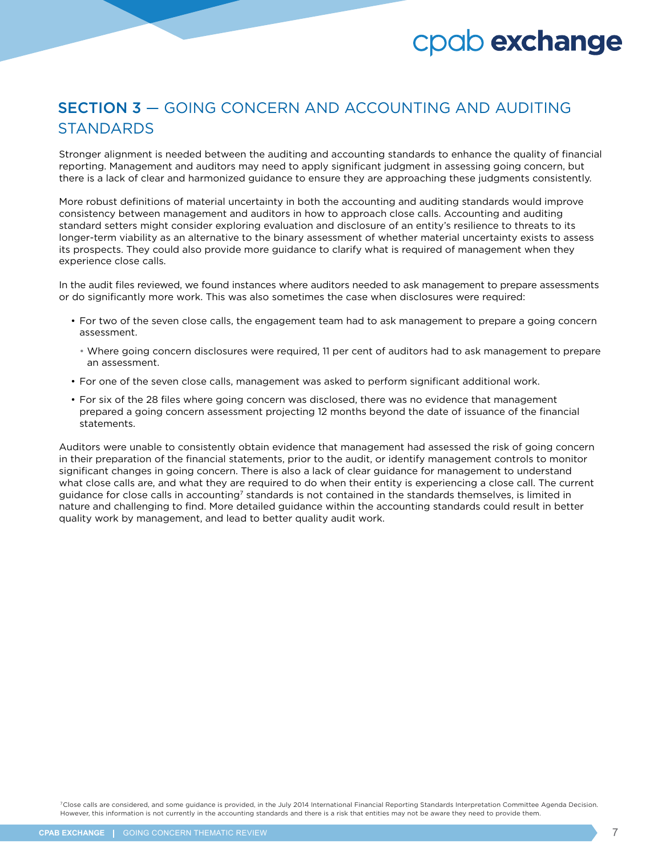### SECTION 3 — GOING CONCERN AND ACCOUNTING AND AUDITING **STANDARDS**

Stronger alignment is needed between the auditing and accounting standards to enhance the quality of financial reporting. Management and auditors may need to apply significant judgment in assessing going concern, but there is a lack of clear and harmonized guidance to ensure they are approaching these judgments consistently.

More robust definitions of material uncertainty in both the accounting and auditing standards would improve consistency between management and auditors in how to approach close calls. Accounting and auditing standard setters might consider exploring evaluation and disclosure of an entity's resilience to threats to its longer-term viability as an alternative to the binary assessment of whether material uncertainty exists to assess its prospects. They could also provide more guidance to clarify what is required of management when they experience close calls.

In the audit files reviewed, we found instances where auditors needed to ask management to prepare assessments or do significantly more work. This was also sometimes the case when disclosures were required:

- For two of the seven close calls, the engagement team had to ask management to prepare a going concern assessment.
	- Where going concern disclosures were required, 11 per cent of auditors had to ask management to prepare an assessment.
- For one of the seven close calls, management was asked to perform significant additional work.
- For six of the 28 files where going concern was disclosed, there was no evidence that management prepared a going concern assessment projecting 12 months beyond the date of issuance of the financial statements.

Auditors were unable to consistently obtain evidence that management had assessed the risk of going concern in their preparation of the financial statements, prior to the audit, or identify management controls to monitor significant changes in going concern. There is also a lack of clear guidance for management to understand what close calls are, and what they are required to do when their entity is experiencing a close call. The current guidance for close calls in accounting<sup>7</sup> standards is not contained in the standards themselves, is limited in nature and challenging to find. More detailed guidance within the accounting standards could result in better quality work by management, and lead to better quality audit work.

7Close calls are considered, and some guidance is provided, in the July 2014 International Financial Reporting Standards Interpretation Committee Agenda Decision. However, this information is not currently in the accounting standards and there is a risk that entities may not be aware they need to provide them.